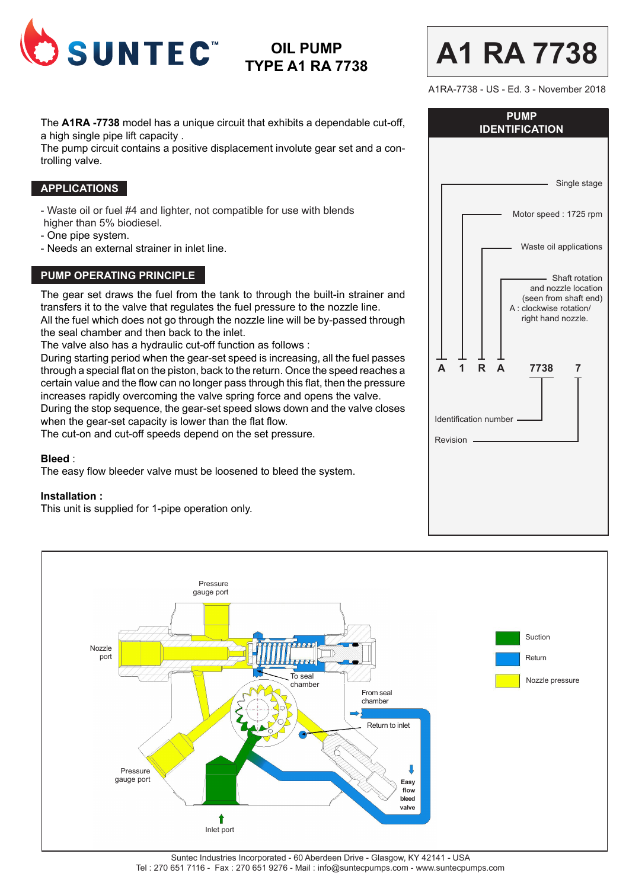

# **OIL PUMP TYPE A1 RA 7738**

The **A1RA -7738** model has a unique circuit that exhibits a dependable cut-off, a high single pipe lift capacity .

The pump circuit contains a positive displacement involute gear set and a controlling valve.

## **APPLICATIONS**

- Waste oil or fuel #4 and lighter, not compatible for use with blends higher than 5% biodiesel.

- One pipe system.
- Needs an external strainer in inlet line.

## **PUMP OPERATING PRINCIPLE**

The gear set draws the fuel from the tank to through the built-in strainer and transfers it to the valve that regulates the fuel pressure to the nozzle line. All the fuel which does not go through the nozzle line will be by-passed through the seal chamber and then back to the inlet.

The valve also has a hydraulic cut-off function as follows :

During starting period when the gear-set speed is increasing, all the fuel passes through a special flat on the piston, back to the return. Once the speed reaches a certain value and the flow can no longer pass through this flat, then the pressure increases rapidly overcoming the valve spring force and opens the valve. During the stop sequence, the gear-set speed slows down and the valve closes when the gear-set capacity is lower than the flat flow.

The cut-on and cut-off speeds depend on the set pressure.

#### **Bleed** :

The easy flow bleeder valve must be loosened to bleed the system.

#### **Installation :**

This unit is supplied for 1-pipe operation only.

| A1RA-7738 - US - Ed. 3 - November 2018<br><b>PUMP</b><br><b>IDENTIFICATION</b>                                  |  |
|-----------------------------------------------------------------------------------------------------------------|--|
| Single stage                                                                                                    |  |
| Motor speed: 1725 rpm                                                                                           |  |
| Waste oil applications                                                                                          |  |
| Shaft rotation<br>and nozzle location<br>(seen from shaft end)<br>A : clockwise rotation/<br>right hand nozzle. |  |
| A<br>R<br>A<br>7738<br>1<br>7<br>Identification number<br>Revision                                              |  |
|                                                                                                                 |  |

**A1 RA 7738**